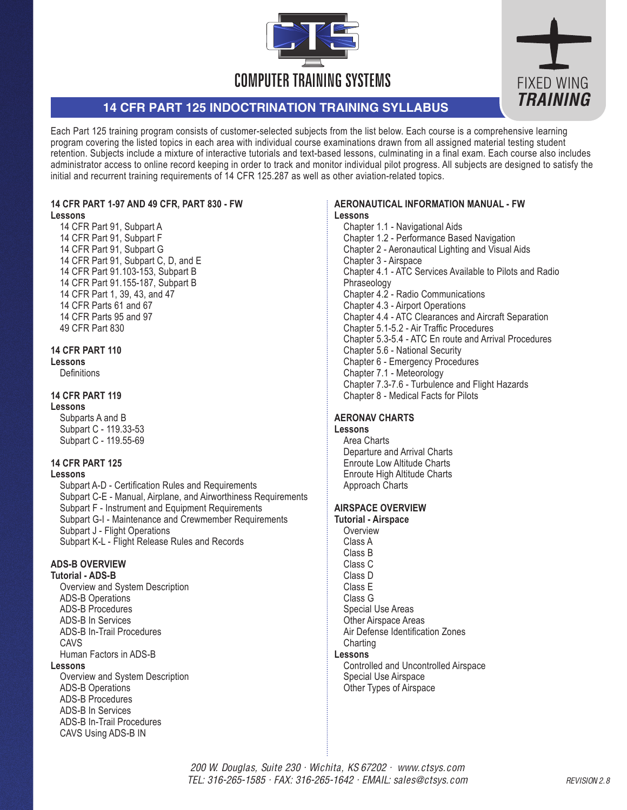



# **14 CFR PART 125 INDOCTRINATION TRAINING SYLLABUS**

Each Part 125 training program consists of customer-selected subjects from the list below. Each course is a comprehensive learning program covering the listed topics in each area with individual course examinations drawn from all assigned material testing student retention. Subjects include a mixture of interactive tutorials and text-based lessons, culminating in a final exam. Each course also includes administrator access to online record keeping in order to track and monitor individual pilot progress. All subjects are designed to satisfy the initial and recurrent training requirements of 14 CFR 125.287 as well as other aviation-related topics.

# **14 CFR PART 1-97 AND 49 CFR, PART 830 - FW**

#### **Lessons**

14 CFR Part 91, Subpart A 14 CFR Part 91, Subpart F 14 CFR Part 91, Subpart G 14 CFR Part 91, Subpart C, D, and E 14 CFR Part 91.103-153, Subpart B 14 CFR Part 91.155-187, Subpart B 14 CFR Part 1, 39, 43, and 47 14 CFR Parts 61 and 67 14 CFR Parts 95 and 97 49 CFR Part 830

# **14 CFR PART 110**

#### **Lessons**

**Definitions** 

# **14 CFR PART 119**

#### **Lessons**

Subparts A and B Subpart C - 119.33-53 Subpart C - 119.55-69

#### **14 CFR PART 125**

# **Lessons**

Subpart A-D - Certification Rules and Requirements Subpart C-E - Manual, Airplane, and Airworthiness Requirements Subpart F - Instrument and Equipment Requirements Subpart G-I - Maintenance and Crewmember Requirements Subpart J - Flight Operations Subpart K-L - Flight Release Rules and Records

#### **ADS-B OVERVIEW**

#### **Tutorial - ADS-B**

Overview and System Description ADS-B Operations ADS-B Procedures ADS-B In Services ADS-B In-Trail Procedures CAVS Human Factors in ADS-B

#### **Lessons**

Overview and System Description ADS-B Operations ADS-B Procedures ADS-B In Services ADS-B In-Trail Procedures CAVS Using ADS-B IN

#### **AERONAUTICAL INFORMATION MANUAL - FW Lessons**

Chapter 1.1 - Navigational Aids Chapter 1.2 - Performance Based Navigation Chapter 2 - Aeronautical Lighting and Visual Aids Chapter 3 - Airspace Chapter 4.1 - ATC Services Available to Pilots and Radio Phraseology Chapter 4.2 - Radio Communications Chapter 4.3 - Airport Operations Chapter 4.4 - ATC Clearances and Aircraft Separation Chapter 5.1-5.2 - Air Traffic Procedures Chapter 5.3-5.4 - ATC En route and Arrival Procedures Chapter 5.6 - National Security Chapter 6 - Emergency Procedures Chapter 7.1 - Meteorology Chapter 7.3-7.6 - Turbulence and Flight Hazards Chapter 8 - Medical Facts for Pilots

# **AERONAV CHARTS**

#### **Lessons**

Area Charts Departure and Arrival Charts Enroute Low Altitude Charts Enroute High Altitude Charts Approach Charts

# **AIRSPACE OVERVIEW**

**Tutorial - Airspace Overview** Class A Class B Class C Class D Class E Class G Special Use Areas Other Airspace Areas Air Defense Identification Zones **Charting Lessons** 

Controlled and Uncontrolled Airspace Special Use Airspace Other Types of Airspace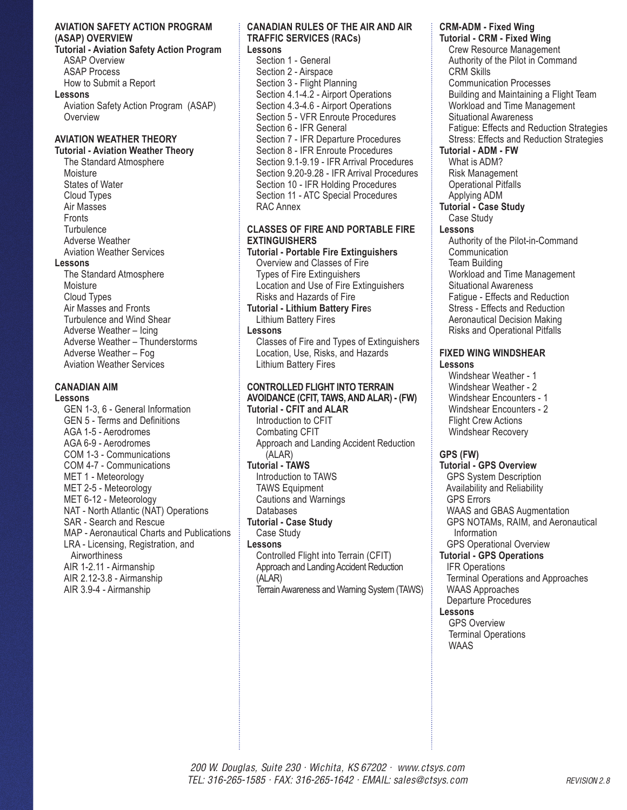#### **AVIATION SAFETY ACTION PROGRAM (ASAP) OVERVIEW**

**Tutorial - Aviation Safety Action Program** ASAP Overview ASAP Process How to Submit a Report

**Lessons** 

Aviation Safety Action Program (ASAP) **Overview** 

# **AVIATION WEATHER THEORY**

# **Tutorial - Aviation Weather Theory**

The Standard Atmosphere Moisture States of Water Cloud Types Air Masses **Fronts Turbulence** Adverse Weather Aviation Weather Services **Lessons**  The Standard Atmosphere **Moisture** Cloud Types Air Masses and Fronts Turbulence and Wind Shear Adverse Weather – Icing Adverse Weather – Thunderstorms Adverse Weather – Fog Aviation Weather Services

#### **CANADIAN AIM**

**Lessons** 

GEN 1-3, 6 - General Information GEN 5 - Terms and Definitions AGA 1-5 - Aerodromes AGA 6-9 - Aerodromes COM 1-3 - Communications COM 4-7 - Communications MET 1 - Meteorology MET 2-5 - Meteorology MET 6-12 - Meteorology NAT - North Atlantic (NAT) Operations SAR - Search and Rescue MAP - Aeronautical Charts and Publications LRA - Licensing, Registration, and **Airworthiness** AIR 1-2.11 - Airmanship AIR 2.12-3.8 - Airmanship AIR 3.9-4 - Airmanship

#### **CANADIAN RULES OF THE AIR AND AIR TRAFFIC SERVICES (RACs)**

**Lessons** 

Section 1 - General Section 2 - Airspace Section 3 - Flight Planning Section 4.1-4.2 - Airport Operations Section 4.3-4.6 - Airport Operations Section 5 - VFR Enroute Procedures Section 6 - IFR General Section 7 - IFR Departure Procedures Section 8 - IFR Enroute Procedures Section 9.1-9.19 - IFR Arrival Procedures Section 9.20-9.28 - IFR Arrival Procedures Section 10 - IFR Holding Procedures Section 11 - ATC Special Procedures RAC Annex

# **CLASSES OF FIRE AND PORTABLE FIRE EXTINGUISHERS**

**Tutorial - Portable Fire Extinguishers** Overview and Classes of Fire Types of Fire Extinguishers Location and Use of Fire Extinguishers Risks and Hazards of Fire **Tutorial - Lithium Battery Fire**s Lithium Battery Fires **Lessons**  Classes of Fire and Types of Extinguishers Location, Use, Risks, and Hazards Lithium Battery Fires

# **CONTROLLED FLIGHT INTO TERRAIN AVOIDANCE (CFIT, TAWS, AND ALAR) - (FW)**

**Tutorial - CFIT and ALAR** Introduction to CFIT Combating CFIT Approach and Landing Accident Reduction (ALAR) **Tutorial - TAWS** Introduction to TAWS TAWS Equipment Cautions and Warnings Databases **Tutorial - Case Study** Case Study **Lessons**  Controlled Flight into Terrain (CFIT) Approach and Landing Accident Reduction (ALAR) Terrain Awareness and Warning System (TAWS)

# **CRM-ADM - Fixed Wing**

**Tutorial - CRM - Fixed Wing** Crew Resource Management Authority of the Pilot in Command CRM Skills Communication Processes Building and Maintaining a Flight Team Workload and Time Management Situational Awareness Fatigue: Effects and Reduction Strategies Stress: Effects and Reduction Strategies **Tutorial - ADM - FW** What is ADM? Risk Management Operational Pitfalls Applying ADM **Tutorial - Case Study** Case Study **Lessons** Authority of the Pilot-in-Command Communication Team Building

Workload and Time Management Situational Awareness Fatigue - Effects and Reduction Stress - Effects and Reduction Aeronautical Decision Making Risks and Operational Pitfalls

#### **FIXED WING WINDSHEAR Lessons**

Windshear Weather - 1 Windshear Weather - 2 Windshear Encounters - 1 Windshear Encounters - 2 Flight Crew Actions Windshear Recovery

# **GPS (FW)**

**Tutorial - GPS Overview** GPS System Description Availability and Reliability GPS Errors WAAS and GBAS Augmentation GPS NOTAMs, RAIM, and Aeronautical Information GPS Operational Overview **Tutorial - GPS Operations** IFR Operations Terminal Operations and Approaches WAAS Approaches Departure Procedures **Lessons**  GPS Overview Terminal Operations

WAAS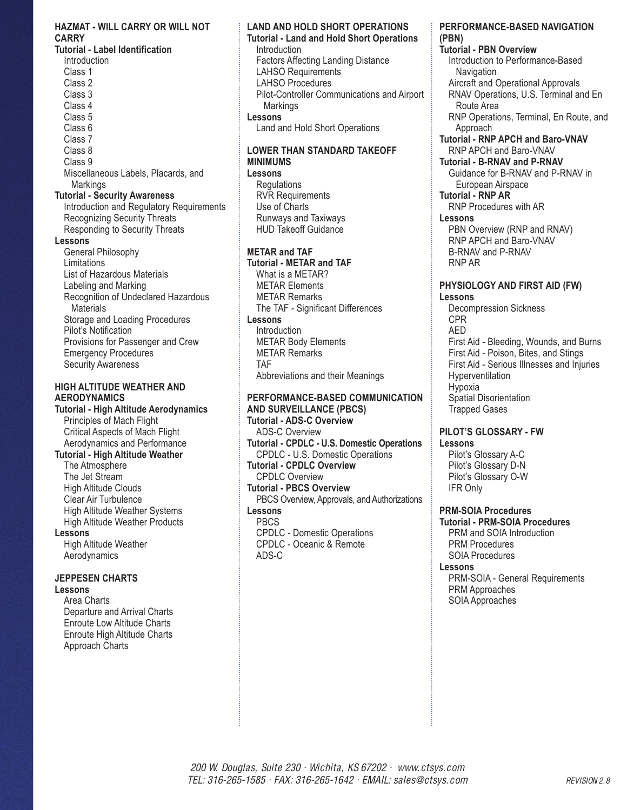#### **HAZMAT - WILL CARRY OR WILL NOT CARRY**

**Tutorial - Label Identification Introduction** Class 1 Class 2 Class 3 Class 4 Class 5 Class 6 Class 7 Class 8 Class 9 Miscellaneous Labels, Placards, and **Markings Tutorial - Security Awareness** Introduction and Regulatory Requirements Recognizing Security Threats Responding to Security Threats **Lessons**  General Philosophy **Limitations** List of Hazardous Materials Labeling and Marking Recognition of Undeclared Hazardous **Materials** Storage and Loading Procedures Pilot's Notification

Provisions for Passenger and Crew Emergency Procedures Security Awareness

#### **HIGH ALTITUDE WEATHER AND AERODYNAMICS**

**Tutorial - High Altitude Aerodynamics** Principles of Mach Flight Critical Aspects of Mach Flight Aerodynamics and Performance **Tutorial - High Altitude Weather** The Atmosphere The Jet Stream High Altitude Clouds Clear Air Turbulence High Altitude Weather Systems High Altitude Weather Products **Lessons**  High Altitude Weather

Aerodynamics

# **JEPPESEN CHARTS**

# **Lessons**

Area Charts Departure and Arrival Charts Enroute Low Altitude Charts Enroute High Altitude Charts Approach Charts

# **LAND AND HOLD SHORT OPERATIONS**

**Tutorial - Land and Hold Short Operations** Introduction Factors Affecting Landing Distance LAHSO Requirements LAHSO Procedures Pilot-Controller Communications and Airport **Markings Lessons** Land and Hold Short Operations

# **LOWER THAN STANDARD TAKEOFF MINIMUMS**

**Lessons Regulations** RVR Requirements Use of Charts Runways and Taxiways HUD Takeoff Guidance

# **METAR and TAF**

**Tutorial - METAR and TAF** What is a METAR? METAR Elements METAR Remarks The TAF - Significant Differences **Lessons Introduction** METAR Body Elements METAR Remarks TAF Abbreviations and their Meanings

#### **PERFORMANCE-BASED COMMUNICATION AND SURVEILLANCE (PBCS)**

**Tutorial - ADS-C Overview** ADS-C Overview **Tutorial - CPDLC - U.S. Domestic Operations** CPDLC - U.S. Domestic Operations **Tutorial - CPDLC Overview** CPDLC Overview **Tutorial - PBCS Overview** PBCS Overview, Approvals, and Authorizations **Lessons** PBCS CPDLC - Domestic Operations CPDLC - Oceanic & Remote ADS-C

#### **PERFORMANCE-BASED NAVIGATION (PBN)**

**Tutorial - PBN Overview** Introduction to Performance-Based **Navigation** Aircraft and Operational Approvals RNAV Operations, U.S. Terminal and En Route Area RNP Operations, Terminal, En Route, and Approach **Tutorial - RNP APCH and Baro-VNAV** RNP APCH and Baro-VNAV **Tutorial - B-RNAV and P-RNAV** Guidance for B-RNAV and P-RNAV in European Airspace **Tutorial - RNP AR** RNP Procedures with AR **Lessons**  PBN Overview (RNP and RNAV) RNP APCH and Baro-VNAV B-RNAV and P-RNAV RNP AR **PHYSIOLOGY AND FIRST AID (FW) Lessons** Decompression Sickness

CPR AED First Aid - Bleeding, Wounds, and Burns First Aid - Poison, Bites, and Stings First Aid - Serious Illnesses and Injuries **Hyperventilation** Hypoxia Spatial Disorientation Trapped Gases

# **PILOT'S GLOSSARY - FW Lessons**

Pilot's Glossary A-C Pilot's Glossary D-N Pilot's Glossary O-W IFR Only

# **PRM-SOIA Procedures**

**Tutorial - PRM-SOIA Procedures** PRM and SOIA Introduction PRM Procedures SOIA Procedures

# **Lessons**

PRM-SOIA - General Requirements PRM Approaches SOIA Approaches